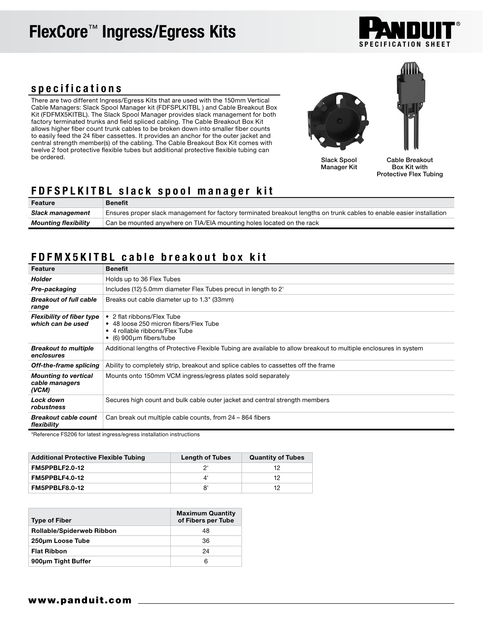# FlexCore™ Ingress/Egress Kits



#### specifications

There are two different Ingress/Egress Kits that are used with the 150mm Vertical Cable Managers: Slack Spool Manager kit (FDFSPLKITBL ) and Cable Breakout Box Kit (FDFMX5KITBL). The Slack Spool Manager provides slack management for both factory terminated trunks and field spliced cabling. The Cable Breakout Box Kit allows higher fiber count trunk cables to be broken down into smaller fiber counts to easily feed the 24 fiber cassettes. It provides an anchor for the outer jacket and central strength member(s) of the cabling. The Cable Breakout Box Kit comes with twelve 2 foot protective flexible tubes but additional protective flexible tubing can be ordered.



Slack Spool Manager Kit

Cable Breakout Box Kit with Protective Flex Tubing

### FDFSPLKITBL slack spool manager kit

| Feature                     | <b>Benefit</b>                                                                                                        |
|-----------------------------|-----------------------------------------------------------------------------------------------------------------------|
| Slack management            | Ensures proper slack management for factory terminated breakout lengths on trunk cables to enable easier installation |
| <b>Mounting flexibility</b> | Can be mounted anywhere on TIA/EIA mounting holes located on the rack                                                 |

## FDFMX5KITBL cable breakout box kit

| Feature                                                | <b>Benefit</b>                                                                                                                                  |  |
|--------------------------------------------------------|-------------------------------------------------------------------------------------------------------------------------------------------------|--|
| <b>Holder</b>                                          | Holds up to 36 Flex Tubes                                                                                                                       |  |
| Pre-packaging                                          | Includes (12) 5.0mm diameter Flex Tubes precut in length to 2'                                                                                  |  |
| <b>Breakout of full cable</b><br>range                 | Breaks out cable diameter up to 1.3" (33mm)                                                                                                     |  |
| <b>Flexibility of fiber type</b><br>which can be used  | • 2 flat ribbons/Flex Tube<br>• 48 loose 250 micron fibers/Flex Tube<br>• 4 rollable ribbons/Flex Tube<br>$\bullet$ (6) 900 $\mu$ m fibers/tube |  |
| <b>Breakout to multiple</b><br>enclosures              | Additional lengths of Protective Flexible Tubing are available to allow breakout to multiple enclosures in system                               |  |
| Off-the-frame splicing                                 | Ability to completely strip, breakout and splice cables to cassettes off the frame                                                              |  |
| <b>Mounting to vertical</b><br>cable managers<br>(VCM) | Mounts onto 150mm VCM ingress/egress plates sold separately                                                                                     |  |
| Lock down<br>robustness                                | Secures high count and bulk cable outer jacket and central strength members                                                                     |  |
| <b>Breakout cable count</b><br>flexibility             | Can break out multiple cable counts, from 24 – 864 fibers                                                                                       |  |

\*Reference FS206 for latest ingress/egress installation instructions

| <b>Additional Protective Flexible Tubing</b> | <b>Length of Tubes</b> | <b>Quantity of Tubes</b> |
|----------------------------------------------|------------------------|--------------------------|
| FM5PPBLF2.0-12                               |                        |                          |
| FM5PPBLF4.0-12                               |                        | 12                       |
| FM5PPBLF8.0-12                               |                        | 12                       |

| <b>Type of Fiber</b>             | <b>Maximum Quantity</b><br>of Fibers per Tube |
|----------------------------------|-----------------------------------------------|
| <b>Rollable/Spiderweb Ribbon</b> | 48                                            |
| 250um Loose Tube                 | 36                                            |
| <b>Flat Ribbon</b>               | 24                                            |
| 900um Tight Buffer               | 6                                             |